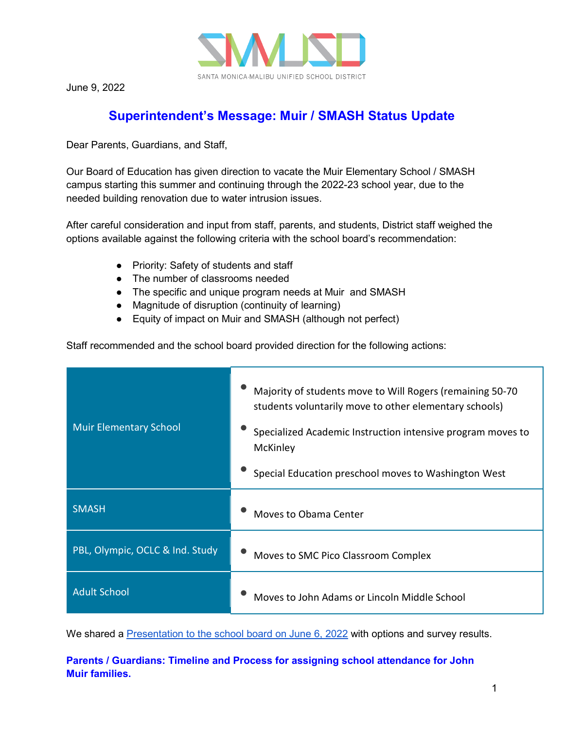

June 9, 2022

# **Superintendent's Message: Muir / SMASH Status Update**

Dear Parents, Guardians, and Staff,

Our Board of Education has given direction to vacate the Muir Elementary School / SMASH campus starting this summer and continuing through the 2022-23 school year, due to the needed building renovation due to water intrusion issues.

After careful consideration and input from staff, parents, and students, District staff weighed the options available against the following criteria with the school board's recommendation:

- Priority: Safety of students and staff
- The number of classrooms needed
- The specific and unique program needs at Muir and SMASH
- Magnitude of disruption (continuity of learning)
- Equity of impact on Muir and SMASH (although not perfect)

Staff recommended and the school board provided direction for the following actions:

| <b>Muir Elementary School</b>   | Majority of students move to Will Rogers (remaining 50-70<br>students voluntarily move to other elementary schools)<br>Specialized Academic Instruction intensive program moves to<br>McKinley<br>Special Education preschool moves to Washington West |
|---------------------------------|--------------------------------------------------------------------------------------------------------------------------------------------------------------------------------------------------------------------------------------------------------|
| <b>SMASH</b>                    | Moves to Obama Center                                                                                                                                                                                                                                  |
| PBL, Olympic, OCLC & Ind. Study | Moves to SMC Pico Classroom Complex                                                                                                                                                                                                                    |
| <b>Adult School</b>             | Moves to John Adams or Lincoln Middle School                                                                                                                                                                                                           |

We shared a [Presentation to the school board on June 6, 2022](https://drive.google.com/file/d/1dKuYbOeVQKw5pSVsRyMThHRCIlZv8Rwj/view?usp=sharing) with options and survey results.

## **Parents / Guardians: Timeline and Process for assigning school attendance for John Muir families.**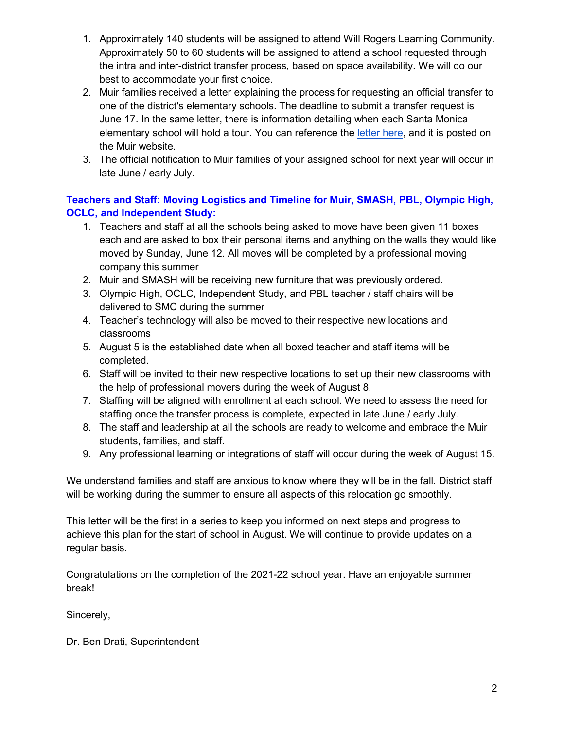- 1. Approximately 140 students will be assigned to attend Will Rogers Learning Community. Approximately 50 to 60 students will be assigned to attend a school requested through the intra and inter-district transfer process, based on space availability. We will do our best to accommodate your first choice.
- 2. Muir families received a letter explaining the process for requesting an official transfer to one of the district's elementary schools. The deadline to submit a transfer request is June 17. In the same letter, there is information detailing when each Santa Monica elementary school will hold a tour. You can reference the [letter here,](https://www.smmusd.org/cms/lib/CA50000164/Centricity/Domain/1792/Drati-MuirTransfersandTours060822.pdf) and it is posted on the Muir website.
- 3. The official notification to Muir families of your assigned school for next year will occur in late June / early July.

## **Teachers and Staff: Moving Logistics and Timeline for Muir, SMASH, PBL, Olympic High, OCLC, and Independent Study:**

- 1. Teachers and staff at all the schools being asked to move have been given 11 boxes each and are asked to box their personal items and anything on the walls they would like moved by Sunday, June 12. All moves will be completed by a professional moving company this summer
- 2. Muir and SMASH will be receiving new furniture that was previously ordered.
- 3. Olympic High, OCLC, Independent Study, and PBL teacher / staff chairs will be delivered to SMC during the summer
- 4. Teacher's technology will also be moved to their respective new locations and classrooms
- 5. August 5 is the established date when all boxed teacher and staff items will be completed.
- 6. Staff will be invited to their new respective locations to set up their new classrooms with the help of professional movers during the week of August 8.
- 7. Staffing will be aligned with enrollment at each school. We need to assess the need for staffing once the transfer process is complete, expected in late June / early July.
- 8. The staff and leadership at all the schools are ready to welcome and embrace the Muir students, families, and staff.
- 9. Any professional learning or integrations of staff will occur during the week of August 15.

We understand families and staff are anxious to know where they will be in the fall. District staff will be working during the summer to ensure all aspects of this relocation go smoothly.

This letter will be the first in a series to keep you informed on next steps and progress to achieve this plan for the start of school in August. We will continue to provide updates on a regular basis.

Congratulations on the completion of the 2021-22 school year. Have an enjoyable summer break!

Sincerely,

Dr. Ben Drati, Superintendent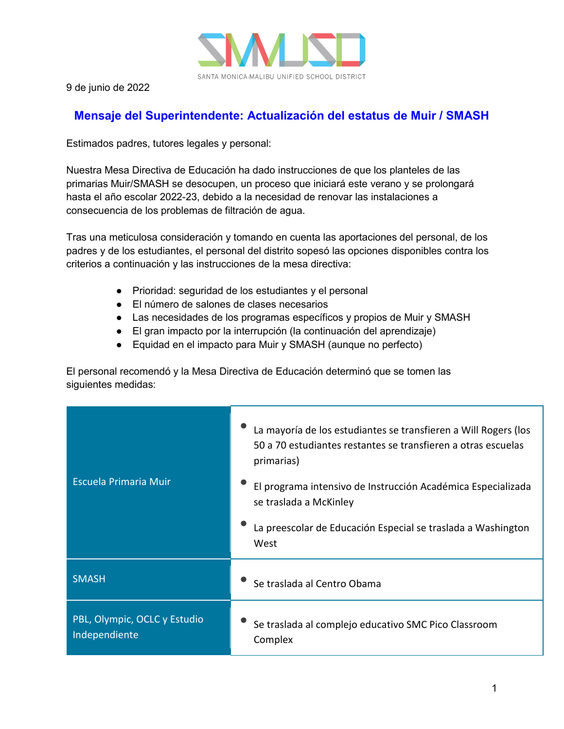

9 de junio de 2022

## **Mensaje del Superintendente: Actualización del estatus de Muir / SMASH**

Estimados padres, tutores legales y personal:

Nuestra Mesa Directiva de Educación ha dado instrucciones de que los planteles de las primarias Muir/SMASH se desocupen, un proceso que iniciará este verano y se prolongará hasta el año escolar 2022-23, debido a la necesidad de renovar las instalaciones a consecuencia de los problemas de filtración de agua.

Tras una meticulosa consideración y tomando en cuenta las aportaciones del personal, de los padres y de los estudiantes, el personal del distrito sopesó las opciones disponibles contra los criterios a continuación y las instrucciones de la mesa directiva:

- Prioridad: seguridad de los estudiantes y el personal
- El número de salones de clases necesarios
- Las necesidades de los programas específicos y propios de Muir y SMASH
- El gran impacto por la interrupción (la continuación del aprendizaje)
- Equidad en el impacto para Muir y SMASH (aunque no perfecto)

El personal recomendó y la Mesa Directiva de Educación determinó que se tomen las siguientes medidas:

| <b>Escuela Primaria Muir</b>                  | La mayoría de los estudiantes se transfieren a Will Rogers (los<br>50 a 70 estudiantes restantes se transfieren a otras escuelas<br>primarias) |
|-----------------------------------------------|------------------------------------------------------------------------------------------------------------------------------------------------|
|                                               | El programa intensivo de Instrucción Académica Especializada<br>se traslada a McKinley                                                         |
|                                               | La preescolar de Educación Especial se traslada a Washington<br>West                                                                           |
| <b>SMASH</b>                                  | Se traslada al Centro Obama                                                                                                                    |
| PBL, Olympic, OCLC y Estudio<br>Independiente | Se traslada al complejo educativo SMC Pico Classroom<br>Complex                                                                                |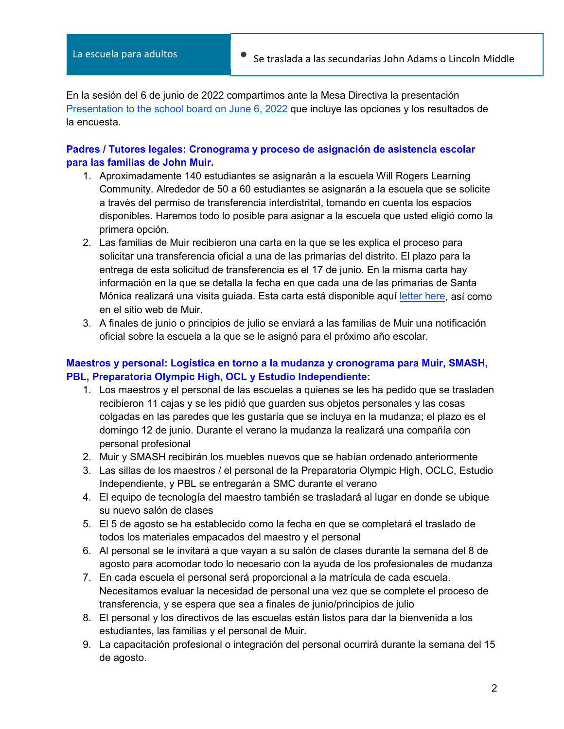En la sesión del 6 de junio de 2022 compartimos ante la Mesa Directiva la presentación [Presentation to the school board on June 6, 2022](https://drive.google.com/file/d/1dKuYbOeVQKw5pSVsRyMThHRCIlZv8Rwj/view?usp=sharing) que incluye las opciones y los resultados de la encuesta.

#### **Padres / Tutores legales: Cronograma y proceso de asignación de asistencia escolar para las familias de John Muir.**

- 1. Aproximadamente 140 estudiantes se asignarán a la escuela Will Rogers Learning Community. Alrededor de 50 a 60 estudiantes se asignarán a la escuela que se solicite a través del permiso de transferencia interdistrital, tomando en cuenta los espacios disponibles. Haremos todo lo posible para asignar a la escuela que usted eligió como la primera opción.
- 2. Las familias de Muir recibieron una carta en la que se les explica el proceso para solicitar una transferencia oficial a una de las primarias del distrito. El plazo para la entrega de esta solicitud de transferencia es el 17 de junio. En la misma carta hay información en la que se detalla la fecha en que cada una de las primarias de Santa Mónica realizará una visita guiada. Esta carta está disponible aquí [letter here,](https://www.smmusd.org/cms/lib/CA50000164/Centricity/Domain/1792/Drati-MuirTransfersandTours060822.pdf) así como en el sitio web de Muir.
- 3. A finales de junio o principios de julio se enviará a las familias de Muir una notificación oficial sobre la escuela a la que se le asignó para el próximo año escolar.

## **Maestros y personal: Logística en torno a la mudanza y cronograma para Muir, SMASH, PBL, Preparatoria Olympic High, OCL y Estudio Independiente:**

- 1. Los maestros y el personal de las escuelas a quienes se les ha pedido que se trasladen recibieron 11 cajas y se les pidió que guarden sus objetos personales y las cosas colgadas en las paredes que les gustaría que se incluya en la mudanza; el plazo es el domingo 12 de junio. Durante el verano la mudanza la realizará una compañía con personal profesional
- 2. Muir y SMASH recibirán los muebles nuevos que se habían ordenado anteriormente
- 3. Las sillas de los maestros / el personal de la Preparatoria Olympic High, OCLC, Estudio Independiente, y PBL se entregarán a SMC durante el verano
- 4. El equipo de tecnología del maestro también se trasladará al lugar en donde se ubique su nuevo salón de clases
- 5. El 5 de agosto se ha establecido como la fecha en que se completará el traslado de todos los materiales empacados del maestro y el personal
- 6. Al personal se le invitará a que vayan a su salón de clases durante la semana del 8 de agosto para acomodar todo lo necesario con la ayuda de los profesionales de mudanza
- 7. En cada escuela el personal será proporcional a la matrícula de cada escuela. Necesitamos evaluar la necesidad de personal una vez que se complete el proceso de transferencia, y se espera que sea a finales de junio/principios de julio
- 8. El personal y los directivos de las escuelas están listos para dar la bienvenida a los estudiantes, las familias y el personal de Muir.
- 9. La capacitación profesional o integración del personal ocurrirá durante la semana del 15 de agosto.